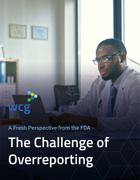# A Fresh Perspective from the FDA

**WCg** 

**The Challenge of Overreporting**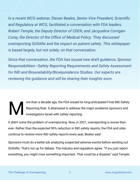*In a recent WCG webinar, Steven Beales, Senior Vice President, Scientific and Regulatory at WCG, facilitated a conversation with FDA leaders, Robert Temple, the Deputy Director of CDER, and Jacqueline Corrigan-Curay, the Director of the Office of Medical Policy. They discussed overreporting SUSARs and the impact on patient safety. This whitepaper is based largely, but not solely, on that conversation.* 

*Since that conversation, the FDA has issued new draft guidance, Sponsor Responsibilities—Safety Reporting Requirements and Safety Assessment for IND and Bioavailability/Bioequivalence Studies. Our experts are reviewing the guidance and will be sharing their insights soon.*

## ore than a decade ago, the FDA issued its long-anticipated Final IND Safety Reporting Rule. It attempted to address the major problems sponsors and investigators faced with safety reporting. M

It didn't solve the problem of overreporting. Now, in 2021, overreporting is worse than ever. Rather than the expected 90% reduction in IND safety reports, the FDA and sites continue to receive more IND safety reports every year, Beales said.

Sponsors must do a better job analyzing suspected adverse events before sending out SUSARs. That's not up for debate. The industry and regulators agree. "If you just report everything, you might miss something important. That could be a disaster," said Temple.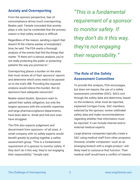#### **Anxiety and Overreporting**

From the sponsor perspective, fear of noncompliance drives much overreporting, Beales said. Temple conceded that anxiety plays a role, but he contended that the primary reason is that safety analysis is difficult.

Regardless of the reason, sending a report that doesn't fit the criteria wastes of everybody's time, he said. The FDA wants a thorough analysis of the events that find the things that *matter.* "If there isn't a serious analysis, you're not really protecting the public or protecting patients the way you promise to."

Overreporting places a burden on the sites that must review all of their sponsors' reports and determine which ones need to be passed on to the trial's IRB. Providing the required analysis would relieve this burden. But do sponsors have adequate resources?

Beales raised doubts. Sponsors want to uphold their safety obligation, but only the largest sponsors with the scientific expertise and large pharmacovigilance departments, have been able to. Small and mid-size ones have struggled.

The FDA also expects judgement and discernment from sponsors—of all sizes. A small company with no safety experts would benefit greatly by putting together a safety assessment group. "This is a fundamental requirement of a sponsor to monitor safety. If they don't do it this way, they're not engaging their responsibility," Temple said.

*"This is a fundamental requirement of a sponsor to monitor safety. If they don't do it this way, they're not engaging their responsibility."*

# **The Role of the Safety Assessment Committee**

To provide this analysis, FDA encourages, but does not require, the use of a safety assessment committee (SAC). SACs sort through the safety data and determine, based on the evidence, what must be reported, explained Corrigan-Curay. SAC members, selected by the sponsor, review unblinded safety data and make recommendations regarding whether that information must be reported. It can include internal and/or external medical experts.

Large pharma companies typically create a SAC using medical staff from other programs. However, smaller companies—such as an emerging biotech with a single product—will likely need to outsource that function. Their medical staff would have a conflict of interest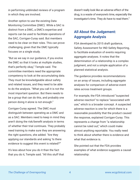in performing unblinded reviews of a program in which they are involved.

Another option to use the existing Data Monitoring Committee (DMC). While a SAC is distinct from a DMC, a DMC's expertise and reports can be used to facilitate operations of the SAC, Corrigan-Curay said. But members need to be clear on their roles. This can prove challenging, given that the DMC typically focuses on a single study.

"But as we say in our guidance, if you evolve the DMC so that it looks at multiple studies, that's perfectly okay," Temple said. The committee members need the appropriate competency to look at the accumulating data. They must be knowledgeable about safety and related issues, and they need to be able to do the analysis. "What you call it is not the most important question. But there needs to be a *group* that can do this, and probably one person doing it alone is not enough."

Corrigan-Curay agreed. The DMC must distinguish between operating as a DMC and as a SAC. Members need to keep in mind they aren't doing the risk/benefit analysis in terms of whether their trial continues. They probably need training to make sure they are answering the right questions, she added. "Are they applying our standards and asking 'Is there evidence to suggest this event is related?'"

It's less about how you do it than the fact that you do it, Temple said. "All this stuff that doesn't really look like an adverse effect of the drug, is a waste of everyone's time, especially the investigator's time. They *do* have to read them."

## **All About the Judgement: Aggregate Analysis**

FDA developed its 2015 draft guidance, Safety Assessment for IND Safety Reporting, to facilitate evaluation of events requiring aggregate analyses. It notes that the determination of a relationship is a complex judgment, and not a simple application of a planned statistical analysis.

The guidance provides recommendations on an array of issues, including aggregate analyses for comparison of adverse event rates across treatment groups.

For example, the FDA introduced "suspected adverse reaction" to replace "associated with use," which is a broader concept. A suspected adverse reaction is one for which there is a reasonable possibility that the product caused the response, explained Corrigan-Curay. This represents a change from "a relationship cannot be ruled out," which could make almost anything reportable. You really need to think about whether there is evidence and what that evidence is.

She pointed out that the FDA provides examples of what evidence suggests a causal relationship: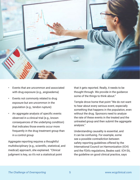

- Events that are uncommon and associated with drug exposure (e.g., angioedema)
- Events not commonly related to drug exposure but are uncommon in the population (e.g., tendon rupture)
- An aggregate analysis of specific events observed in a clinical trial (e.g., known consequences of the underlying condition) that indicates those events occur more frequently in the drug treatment group than in a control group

Aggregate reporting requires a thoughtful multidisciplinary (e.g., scientific, statistical, and medical) approach, she explained. "Clinical judgment is key, so it's not a statistical point

that it gets reported. Really, it needs to be thought through. We provide in the guidance some of the things to think about."

Temple drove home that point "We do not want to hear about every serious event, especially something that happens in the population, even without the drug. Sponsors need to analyze the rate of these events in the treated and the untreated group and then submit the aggregate analysis."

Understanding causality is essential, and it can be confusing. For example, some see a possible contradiction between safety reporting guidelines offered by the International Council on Harmonization (ICH) and the FDA's regulations, Beales said. ICH E6, the guideline on good clinical practice, says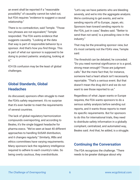an event shall be reported if a "reasonable possibility" of causality cannot be ruled out, but FDA requires "evidence to suggest a causal relationship."

There is no contradiction, said Temple. "Those two phrases are not equivalent," Temple responded. The FDA wants evidence that suggests causality. "Looking at the data that way is part of responsible behavior by a sponsor. And that's how you find things. This is part of what our sponsor is supposed to be doing to protect patients: analyzing, looking at it."

ICH E6 confusion may be the least of global challenges.

#### **Global Standards, Global Headaches**

As discussed, sponsors often struggle to meet the FDA's safety requirement. It's no surprise that it's even harder to meet the requirements of several countries.

The lack of global regulatory harmonization compounds overreporting, and according to Beales, it's the single biggest headache for pharma execs. "We've seen at least 40 different approaches to handling SUSAR distribution, and it changes regularly." Similarly, IRBs and ethics committees have varying requirements. Many sponsors lack the regulatory intelligence required to adhere to each country's rules. So being overly cautious, they overdistribute.

"Let's say we have patients who are bleeding severely, and we're into the aggregate analysis. We're continuing to get events, and we're sending reports off to Europe, Japan, etc. Sponsors lean toward sending reports to the FDA, just in case," Beales said. "'Better to send than not send, is a prevailing view in the industry."

That may be the prevailing sponsor view, but it's most certainly not the FDA's view, Temple said.

The threshold can be debated, he conceded. "Do you need nominal significance or is a good, strong mean enough? Those are judgment calls." But the mere fact that, for instance, someone had a heart attack isn't necessarily reportable. "That's a serious event. But that doesn't mean the drug did it and we do not want to see those reported to us."

Regardless of what Japan wants or Europe requires, the FDA wants sponsors to do a serious safety analysis before sending out reports, and it wants those reports to meet its specific requirements. But for sponsors to do this for international trials, they need to distribute safety information in a globally compliant, centralized, and automated way, Beales said. And that, he added, is a struggle.

#### **Continuing the Conversation**

The FDA recognizes the challenge. "There needs to be greater dialogue about why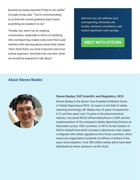[events] are being reported if they're not useful," Corrigan-Curay said. "You're communicating to us that the current guidance hasn't done everything we needed it to do."

Temple, too, sees it as an ongoing conversation, especially in terms of clarifying why overreporting creates extra work that could interfere with learning about events that matter. "And I think that's our most important and most critical argument. And that's the one that I think we should be prepared to talk about."

See how you can address your overreporting, eliminate site burden, enhance compliance, and realize significant cost savings.

#### **[MEET WITH STEVEN](https://www.wcgclinical.com/services/safety-reporting/#form-cta)**

#### **About Steven Beales**



#### Steven Beales, SVP, Scientific and Regulatory, WCG

Steven Beales is the Senior Vice President & Market Owner of Safety Reporting at WCG. An expert in the field of safety reporting technology, Mr. Beales has 25 years of experience in IT, and has spent over 16 years in the pharmaceutical industry. He joined WCG's ePharmaSolutions in 2009 and led implementation of the company's Safety Reporting Solution at Genentech across 100+ countries. In 2015, he led creation of WCG's SafetyPortal which includes a data-driven rules engine configured with safety regulations from those countries, which saved one organization hundreds of millions of dollars in the years since adoption. Over 200 million safety alerts have been distributed by these solutions via the cloud.